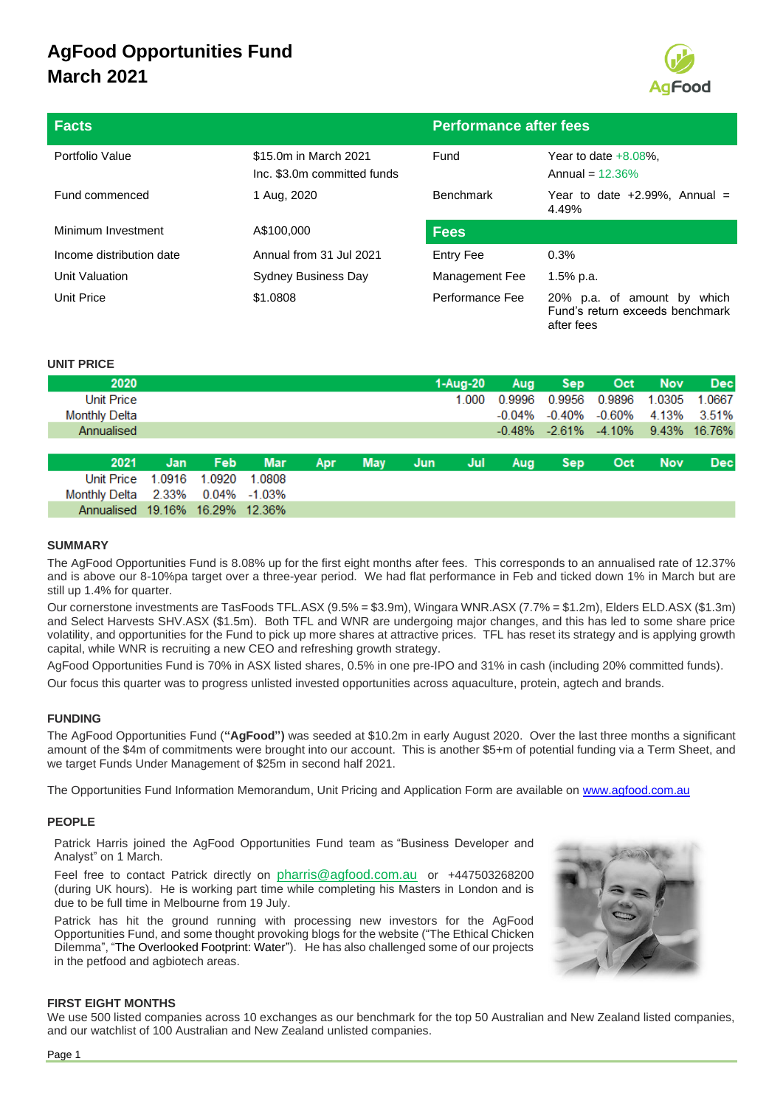

after fees

| <b>Facts</b>             |                                                      | <b>Performance after fees</b> |                                                                   |  |  |
|--------------------------|------------------------------------------------------|-------------------------------|-------------------------------------------------------------------|--|--|
| Portfolio Value          | \$15.0m in March 2021<br>Inc. \$3.0m committed funds | Fund                          | Year to date $+8.08\%$ .<br>Annual = $12.36\%$                    |  |  |
| Fund commenced           | 1 Aug, 2020                                          | <b>Benchmark</b>              | Year to date $+2.99\%$ , Annual =<br>4.49%                        |  |  |
| Minimum Investment       | A\$100,000                                           | <b>Fees</b>                   |                                                                   |  |  |
| Income distribution date | Annual from 31 Jul 2021                              | Entry Fee                     | 0.3%                                                              |  |  |
| Unit Valuation           | Sydney Business Day                                  | Management Fee                | $1.5%$ p.a.                                                       |  |  |
| Unit Price               | \$1,0808                                             | Performance Fee               | 20% p.a. of amount by<br>which<br>Fund's return exceeds benchmark |  |  |

### **UNIT PRICE**

| 2020                            |        |        |              |     |            |     | 1-Aug-20 | Aug       | <b>Sep</b> | Oct                                           | <b>Nov</b> | <b>Dec</b> |
|---------------------------------|--------|--------|--------------|-----|------------|-----|----------|-----------|------------|-----------------------------------------------|------------|------------|
| Unit Price                      |        |        |              |     |            |     | 1.000    | 0.9996    | 0.9956     | 0.9896                                        | 1.0305     | 1.0667     |
| <b>Monthly Delta</b>            |        |        |              |     |            |     |          | $-0.04\%$ | -0.40%     | -0.60%                                        | 4.13%      | 3.51%      |
| Annualised                      |        |        |              |     |            |     |          |           |            | $-0.48\%$ $-2.61\%$ $-4.10\%$ $9.43\%$ 16.76% |            |            |
|                                 |        |        |              |     |            |     |          |           |            |                                               |            |            |
| 2021                            | Jan    | Feb.   | <b>Mar</b>   | Apr | <b>May</b> | Jun | Jul      | Aug       | <b>Sep</b> | Oct                                           | <b>Nov</b> | <b>Dec</b> |
| Unit Price                      | 1.0916 | 1.0920 | 1.0808       |     |            |     |          |           |            |                                               |            |            |
| Monthly Delta 2.33%             |        |        | 0.04% -1.03% |     |            |     |          |           |            |                                               |            |            |
| Annualised 19.16% 16.29% 12.36% |        |        |              |     |            |     |          |           |            |                                               |            |            |

#### **SUMMARY**

The AgFood Opportunities Fund is 8.08% up for the first eight months after fees. This corresponds to an annualised rate of 12.37% and is above our 8-10%pa target over a three-year period. We had flat performance in Feb and ticked down 1% in March but are still up 1.4% for quarter.

Our cornerstone investments are TasFoods TFL.ASX (9.5% = \$3.9m), Wingara WNR.ASX (7.7% = \$1.2m), Elders ELD.ASX (\$1.3m) and Select Harvests SHV.ASX (\$1.5m). Both TFL and WNR are undergoing major changes, and this has led to some share price volatility, and opportunities for the Fund to pick up more shares at attractive prices. TFL has reset its strategy and is applying growth capital, while WNR is recruiting a new CEO and refreshing growth strategy.

AgFood Opportunities Fund is 70% in ASX listed shares, 0.5% in one pre-IPO and 31% in cash (including 20% committed funds).

Our focus this quarter was to progress unlisted invested opportunities across aquaculture, protein, agtech and brands.

#### **FUNDING**

The AgFood Opportunities Fund (**"AgFood")** was seeded at \$10.2m in early August 2020. Over the last three months a significant amount of the \$4m of commitments were brought into our account. This is another \$5+m of potential funding via a Term Sheet, and we target Funds Under Management of \$25m in second half 2021.

The Opportunities Fund Information Memorandum, Unit Pricing and Application Form are available on [www.agfood.com.au](http://www.agfood.com.au/)

#### **PEOPLE**

Patrick Harris joined the AgFood Opportunities Fund team as "Business Developer and Analyst" on 1 March.

Feel free to contact Patrick directly on [pharris@agfood.com.au](mailto:pharris@agfood.com.au) or +447503268200 (during UK hours). He is working part time while completing his Masters in London and is due to be full time in Melbourne from 19 July.

Patrick has hit the ground running with processing new investors for the AgFood Opportunities Fund, and some thought provoking blogs for the website ("The Ethical Chicken Dilemma", "The Overlooked Footprint: Water"). He has also challenged some of our projects in the petfood and agbiotech areas.



#### **FIRST EIGHT MONTHS**

We use 500 listed companies across 10 exchanges as our benchmark for the top 50 Australian and New Zealand listed companies, and our watchlist of 100 Australian and New Zealand unlisted companies.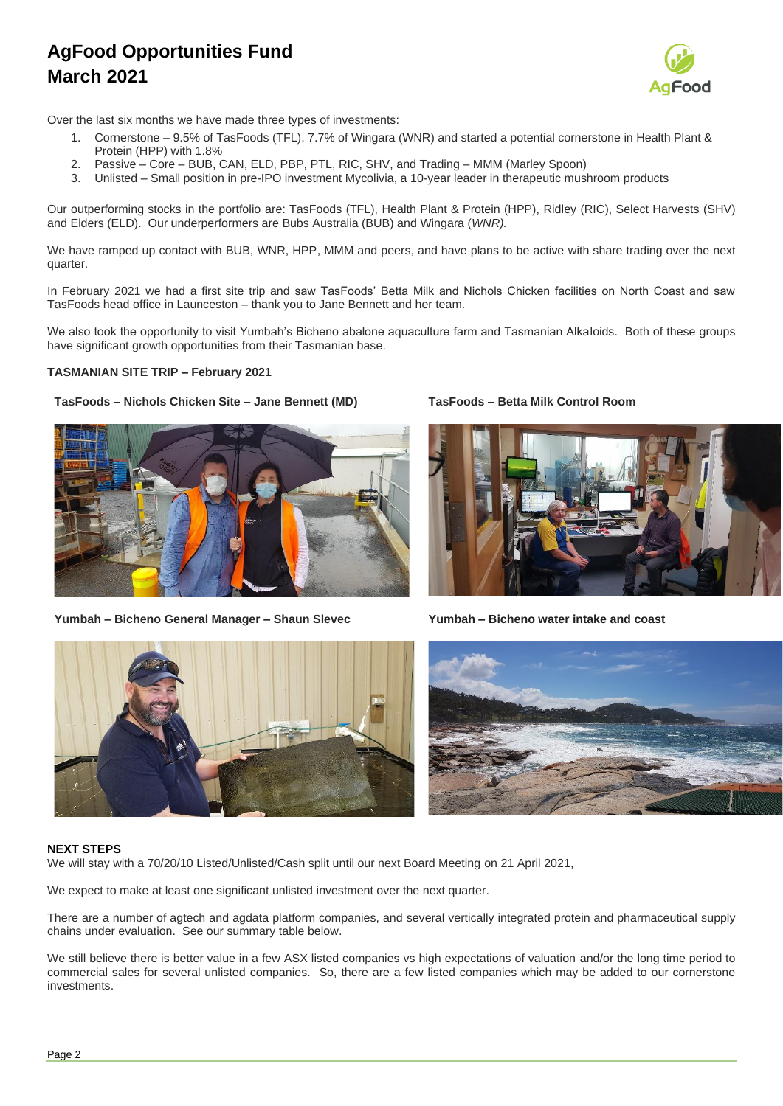

Over the last six months we have made three types of investments:

- 1. Cornerstone 9.5% of TasFoods (TFL), 7.7% of Wingara (WNR) and started a potential cornerstone in Health Plant & Protein (HPP) with 1.8%
- 2. Passive Core BUB, CAN, ELD, PBP, PTL, RIC, SHV, and Trading MMM (Marley Spoon)
- 3. Unlisted Small position in pre-IPO investment Mycolivia, a 10-year leader in therapeutic mushroom products

Our outperforming stocks in the portfolio are: TasFoods (TFL), Health Plant & Protein (HPP), Ridley (RIC), Select Harvests (SHV) and Elders (ELD). Our underperformers are Bubs Australia (BUB) and Wingara (*WNR).*

We have ramped up contact with BUB, WNR, HPP, MMM and peers, and have plans to be active with share trading over the next quarter.

In February 2021 we had a first site trip and saw TasFoods' Betta Milk and Nichols Chicken facilities on North Coast and saw TasFoods head office in Launceston – thank you to Jane Bennett and her team.

We also took the opportunity to visit Yumbah's Bicheno abalone aquaculture farm and Tasmanian Alkaloids. Both of these groups have significant growth opportunities from their Tasmanian base.

#### **TASMANIAN SITE TRIP – February 2021**

#### **TasFoods – Nichols Chicken Site – Jane Bennett (MD) TasFoods – Betta Milk Control Room**



**Yumbah – Bicheno General Manager – Shaun Slevec Yumbah – Bicheno water intake and coast**







#### **NEXT STEPS**

We will stay with a 70/20/10 Listed/Unlisted/Cash split until our next Board Meeting on 21 April 2021,

We expect to make at least one significant unlisted investment over the next quarter.

There are a number of agtech and agdata platform companies, and several vertically integrated protein and pharmaceutical supply chains under evaluation. See our summary table below.

We still believe there is better value in a few ASX listed companies vs high expectations of valuation and/or the long time period to commercial sales for several unlisted companies. So, there are a few listed companies which may be added to our cornerstone investments.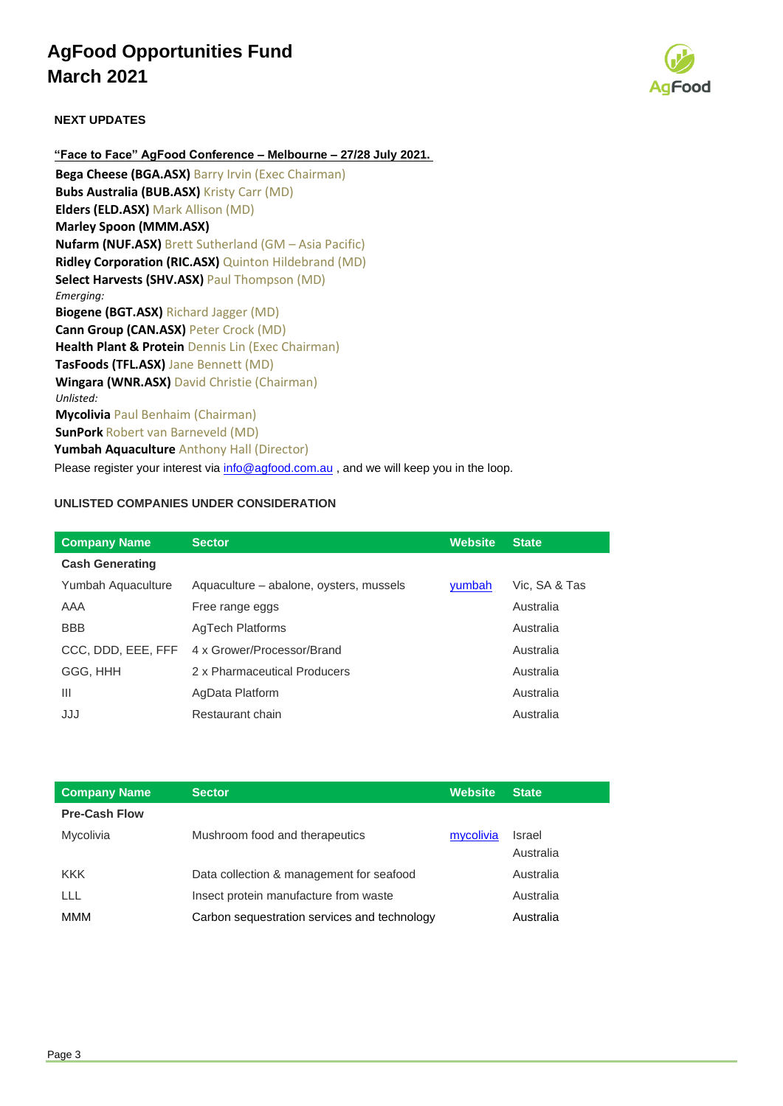

### **NEXT UPDATES**

**"Face to Face" AgFood Conference – Melbourne – 27/28 July 2021. Bega Cheese (BGA.ASX)** Barry Irvin (Exec Chairman)

**Bubs Australia (BUB.ASX)** Kristy Carr (MD) **Elders (ELD.ASX)** Mark Allison (MD) **Marley Spoon (MMM.ASX) Nufarm (NUF.ASX)** Brett Sutherland (GM – Asia Pacific) **Ridley Corporation (RIC.ASX)** Quinton Hildebrand (MD) **Select Harvests (SHV.ASX)** Paul Thompson (MD) *Emerging:* **Biogene (BGT.ASX)** Richard Jagger (MD) **Cann Group (CAN.ASX)** Peter Crock (MD) **Health Plant & Protein** Dennis Lin (Exec Chairman) **TasFoods (TFL.ASX)** Jane Bennett (MD) **Wingara (WNR.ASX)** David Christie (Chairman) *Unlisted:*  **Mycolivia** Paul Benhaim (Chairman) **SunPork** Robert van Barneveld (MD) **Yumbah Aquaculture** Anthony Hall (Director)

Please register your interest via [info@agfood.com.au](mailto:info@agfood.com.au), and we will keep you in the loop.

### **UNLISTED COMPANIES UNDER CONSIDERATION**

| <b>Company Name</b>    | <b>Sector</b>                           | <b>Website</b> | <b>State</b>  |
|------------------------|-----------------------------------------|----------------|---------------|
| <b>Cash Generating</b> |                                         |                |               |
| Yumbah Aquaculture     | Aquaculture – abalone, oysters, mussels | yumbah         | Vic, SA & Tas |
| AAA                    | Free range eggs                         |                | Australia     |
| <b>BBB</b>             | AgTech Platforms                        |                | Australia     |
| CCC, DDD, EEE, FFF     | 4 x Grower/Processor/Brand              |                | Australia     |
| GGG, HHH               | 2 x Pharmaceutical Producers            |                | Australia     |
| $\mathbf{III}$         | AgData Platform                         |                | Australia     |
| JJJ                    | Restaurant chain                        |                | Australia     |

| <b>Company Name</b>  | <b>Sector</b>                                | <b>Website</b> | <b>State</b>        |
|----------------------|----------------------------------------------|----------------|---------------------|
| <b>Pre-Cash Flow</b> |                                              |                |                     |
| Mycolivia            | Mushroom food and therapeutics               | mycolivia      | Israel<br>Australia |
| <b>KKK</b>           | Data collection & management for seafood     |                | Australia           |
| ШL                   | Insect protein manufacture from waste        |                | Australia           |
| MMM                  | Carbon sequestration services and technology |                | Australia           |